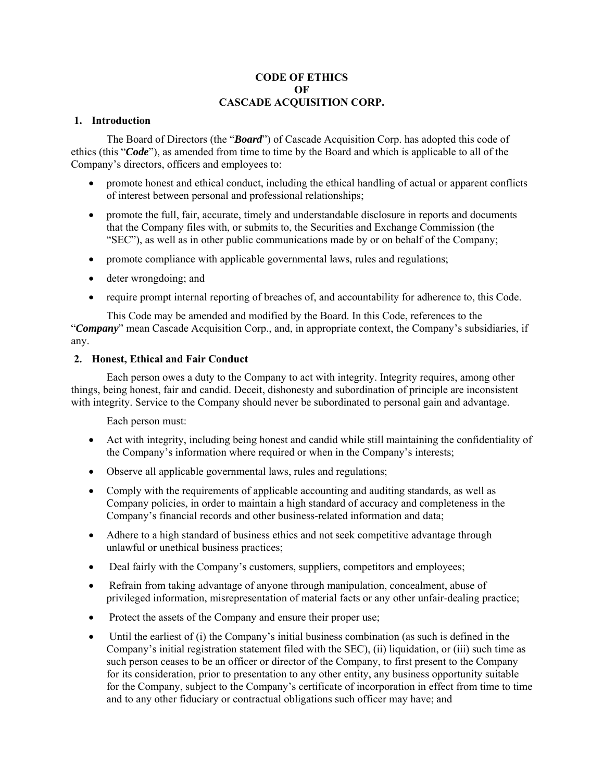## **CODE OF ETHICS**   $\Omega$ **F CASCADE ACQUISITION CORP.**

# **1. Introduction**

The Board of Directors (the "*Board*") of Cascade Acquisition Corp. has adopted this code of ethics (this "*Code*"), as amended from time to time by the Board and which is applicable to all of the Company's directors, officers and employees to:

- promote honest and ethical conduct, including the ethical handling of actual or apparent conflicts of interest between personal and professional relationships;
- promote the full, fair, accurate, timely and understandable disclosure in reports and documents that the Company files with, or submits to, the Securities and Exchange Commission (the "SEC"), as well as in other public communications made by or on behalf of the Company;
- promote compliance with applicable governmental laws, rules and regulations;
- deter wrongdoing; and
- require prompt internal reporting of breaches of, and accountability for adherence to, this Code.

This Code may be amended and modified by the Board. In this Code, references to the "*Company*" mean Cascade Acquisition Corp., and, in appropriate context, the Company's subsidiaries, if any.

## **2. Honest, Ethical and Fair Conduct**

Each person owes a duty to the Company to act with integrity. Integrity requires, among other things, being honest, fair and candid. Deceit, dishonesty and subordination of principle are inconsistent with integrity. Service to the Company should never be subordinated to personal gain and advantage.

Each person must:

- Act with integrity, including being honest and candid while still maintaining the confidentiality of the Company's information where required or when in the Company's interests;
- Observe all applicable governmental laws, rules and regulations;
- Comply with the requirements of applicable accounting and auditing standards, as well as Company policies, in order to maintain a high standard of accuracy and completeness in the Company's financial records and other business-related information and data;
- Adhere to a high standard of business ethics and not seek competitive advantage through unlawful or unethical business practices;
- Deal fairly with the Company's customers, suppliers, competitors and employees;
- Refrain from taking advantage of anyone through manipulation, concealment, abuse of privileged information, misrepresentation of material facts or any other unfair-dealing practice;
- Protect the assets of the Company and ensure their proper use;
- $\bullet$  Until the earliest of (i) the Company's initial business combination (as such is defined in the Company's initial registration statement filed with the SEC), (ii) liquidation, or (iii) such time as such person ceases to be an officer or director of the Company, to first present to the Company for its consideration, prior to presentation to any other entity, any business opportunity suitable for the Company, subject to the Company's certificate of incorporation in effect from time to time and to any other fiduciary or contractual obligations such officer may have; and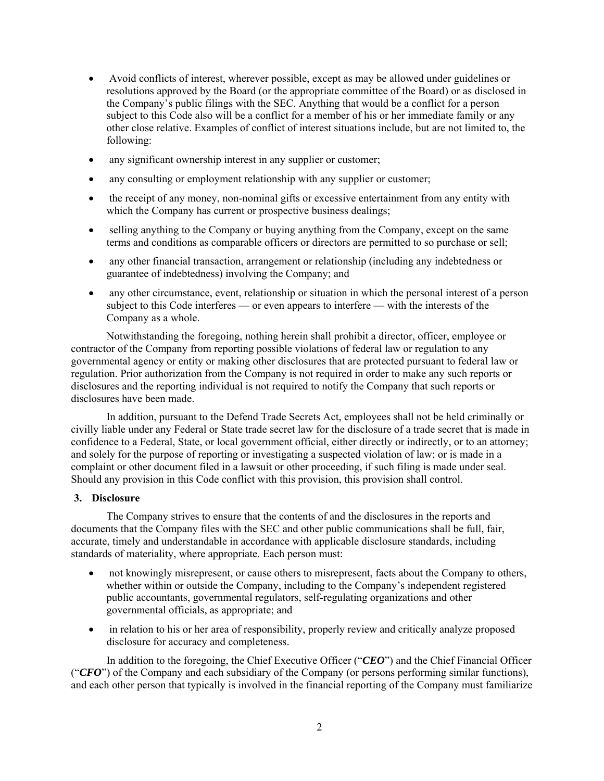- Avoid conflicts of interest, wherever possible, except as may be allowed under guidelines or resolutions approved by the Board (or the appropriate committee of the Board) or as disclosed in the Company's public filings with the SEC. Anything that would be a conflict for a person subject to this Code also will be a conflict for a member of his or her immediate family or any other close relative. Examples of conflict of interest situations include, but are not limited to, the following:
- any significant ownership interest in any supplier or customer;
- any consulting or employment relationship with any supplier or customer;
- the receipt of any money, non-nominal gifts or excessive entertainment from any entity with which the Company has current or prospective business dealings;
- selling anything to the Company or buying anything from the Company, except on the same terms and conditions as comparable officers or directors are permitted to so purchase or sell;
- any other financial transaction, arrangement or relationship (including any indebtedness or guarantee of indebtedness) involving the Company; and
- any other circumstance, event, relationship or situation in which the personal interest of a person subject to this Code interferes — or even appears to interfere — with the interests of the Company as a whole.

Notwithstanding the foregoing, nothing herein shall prohibit a director, officer, employee or contractor of the Company from reporting possible violations of federal law or regulation to any governmental agency or entity or making other disclosures that are protected pursuant to federal law or regulation. Prior authorization from the Company is not required in order to make any such reports or disclosures and the reporting individual is not required to notify the Company that such reports or disclosures have been made.

In addition, pursuant to the Defend Trade Secrets Act, employees shall not be held criminally or civilly liable under any Federal or State trade secret law for the disclosure of a trade secret that is made in confidence to a Federal, State, or local government official, either directly or indirectly, or to an attorney; and solely for the purpose of reporting or investigating a suspected violation of law; or is made in a complaint or other document filed in a lawsuit or other proceeding, if such filing is made under seal. Should any provision in this Code conflict with this provision, this provision shall control.

#### **3. Disclosure**

The Company strives to ensure that the contents of and the disclosures in the reports and documents that the Company files with the SEC and other public communications shall be full, fair, accurate, timely and understandable in accordance with applicable disclosure standards, including standards of materiality, where appropriate. Each person must:

- not knowingly misrepresent, or cause others to misrepresent, facts about the Company to others, whether within or outside the Company, including to the Company's independent registered public accountants, governmental regulators, self-regulating organizations and other governmental officials, as appropriate; and
- in relation to his or her area of responsibility, properly review and critically analyze proposed disclosure for accuracy and completeness.

In addition to the foregoing, the Chief Executive Officer ("*CEO*") and the Chief Financial Officer ("*CFO*") of the Company and each subsidiary of the Company (or persons performing similar functions), and each other person that typically is involved in the financial reporting of the Company must familiarize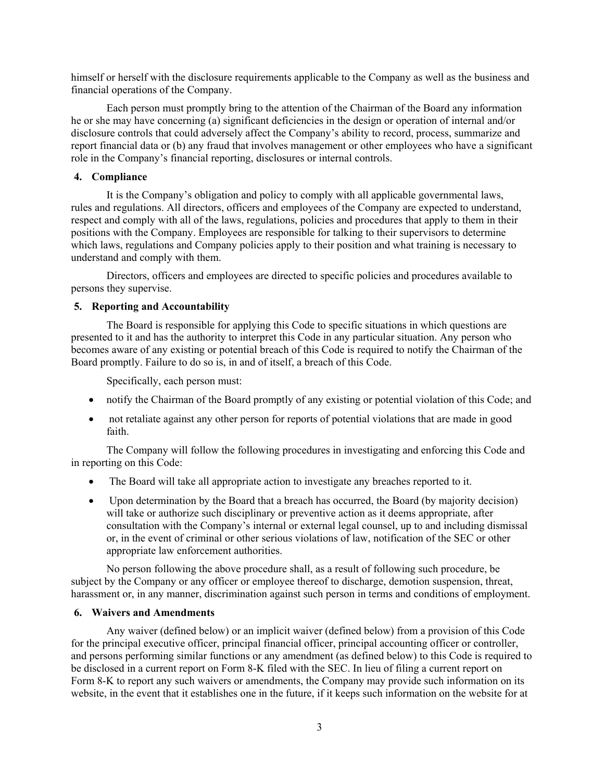himself or herself with the disclosure requirements applicable to the Company as well as the business and financial operations of the Company.

Each person must promptly bring to the attention of the Chairman of the Board any information he or she may have concerning (a) significant deficiencies in the design or operation of internal and/or disclosure controls that could adversely affect the Company's ability to record, process, summarize and report financial data or (b) any fraud that involves management or other employees who have a significant role in the Company's financial reporting, disclosures or internal controls.

## **4. Compliance**

It is the Company's obligation and policy to comply with all applicable governmental laws, rules and regulations. All directors, officers and employees of the Company are expected to understand, respect and comply with all of the laws, regulations, policies and procedures that apply to them in their positions with the Company. Employees are responsible for talking to their supervisors to determine which laws, regulations and Company policies apply to their position and what training is necessary to understand and comply with them.

Directors, officers and employees are directed to specific policies and procedures available to persons they supervise.

## **5. Reporting and Accountability**

The Board is responsible for applying this Code to specific situations in which questions are presented to it and has the authority to interpret this Code in any particular situation. Any person who becomes aware of any existing or potential breach of this Code is required to notify the Chairman of the Board promptly. Failure to do so is, in and of itself, a breach of this Code.

Specifically, each person must:

- notify the Chairman of the Board promptly of any existing or potential violation of this Code; and
- not retaliate against any other person for reports of potential violations that are made in good faith.

The Company will follow the following procedures in investigating and enforcing this Code and in reporting on this Code:

- The Board will take all appropriate action to investigate any breaches reported to it.
- Upon determination by the Board that a breach has occurred, the Board (by majority decision) will take or authorize such disciplinary or preventive action as it deems appropriate, after consultation with the Company's internal or external legal counsel, up to and including dismissal or, in the event of criminal or other serious violations of law, notification of the SEC or other appropriate law enforcement authorities.

No person following the above procedure shall, as a result of following such procedure, be subject by the Company or any officer or employee thereof to discharge, demotion suspension, threat, harassment or, in any manner, discrimination against such person in terms and conditions of employment.

## **6. Waivers and Amendments**

Any waiver (defined below) or an implicit waiver (defined below) from a provision of this Code for the principal executive officer, principal financial officer, principal accounting officer or controller, and persons performing similar functions or any amendment (as defined below) to this Code is required to be disclosed in a current report on Form 8-K filed with the SEC. In lieu of filing a current report on Form 8-K to report any such waivers or amendments, the Company may provide such information on its website, in the event that it establishes one in the future, if it keeps such information on the website for at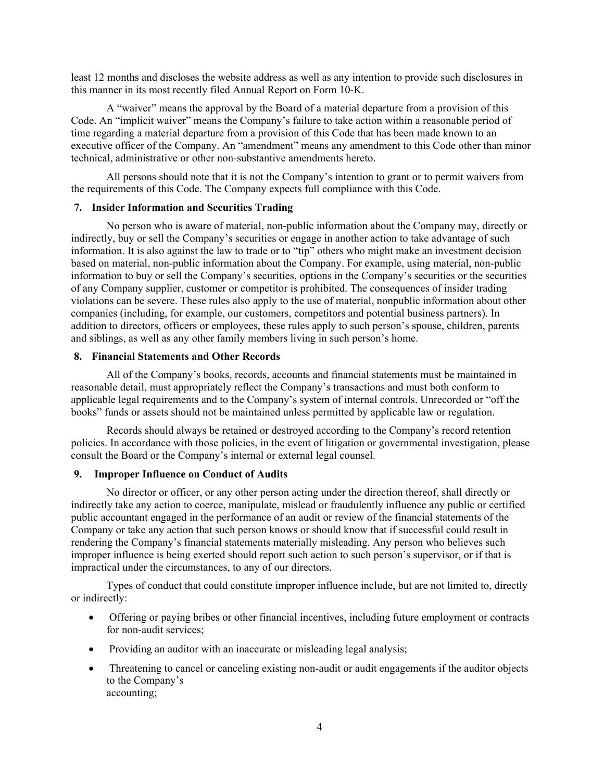least 12 months and discloses the website address as well as any intention to provide such disclosures in this manner in its most recently filed Annual Report on Form 10-K.

A "waiver" means the approval by the Board of a material departure from a provision of this Code. An "implicit waiver" means the Company's failure to take action within a reasonable period of time regarding a material departure from a provision of this Code that has been made known to an executive officer of the Company. An "amendment" means any amendment to this Code other than minor technical, administrative or other non-substantive amendments hereto.

All persons should note that it is not the Company's intention to grant or to permit waivers from the requirements of this Code. The Company expects full compliance with this Code.

### **7. Insider Information and Securities Trading**

No person who is aware of material, non-public information about the Company may, directly or indirectly, buy or sell the Company's securities or engage in another action to take advantage of such information. It is also against the law to trade or to "tip" others who might make an investment decision based on material, non-public information about the Company. For example, using material, non-public information to buy or sell the Company's securities, options in the Company's securities or the securities of any Company supplier, customer or competitor is prohibited. The consequences of insider trading violations can be severe. These rules also apply to the use of material, nonpublic information about other companies (including, for example, our customers, competitors and potential business partners). In addition to directors, officers or employees, these rules apply to such person's spouse, children, parents and siblings, as well as any other family members living in such person's home.

#### **8. Financial Statements and Other Records**

All of the Company's books, records, accounts and financial statements must be maintained in reasonable detail, must appropriately reflect the Company's transactions and must both conform to applicable legal requirements and to the Company's system of internal controls. Unrecorded or "off the books" funds or assets should not be maintained unless permitted by applicable law or regulation.

Records should always be retained or destroyed according to the Company's record retention policies. In accordance with those policies, in the event of litigation or governmental investigation, please consult the Board or the Company's internal or external legal counsel.

### **9. Improper Influence on Conduct of Audits**

No director or officer, or any other person acting under the direction thereof, shall directly or indirectly take any action to coerce, manipulate, mislead or fraudulently influence any public or certified public accountant engaged in the performance of an audit or review of the financial statements of the Company or take any action that such person knows or should know that if successful could result in rendering the Company's financial statements materially misleading. Any person who believes such improper influence is being exerted should report such action to such person's supervisor, or if that is impractical under the circumstances, to any of our directors.

Types of conduct that could constitute improper influence include, but are not limited to, directly or indirectly:

- Offering or paying bribes or other financial incentives, including future employment or contracts for non-audit services;
- Providing an auditor with an inaccurate or misleading legal analysis;
- Threatening to cancel or canceling existing non-audit or audit engagements if the auditor objects to the Company's accounting;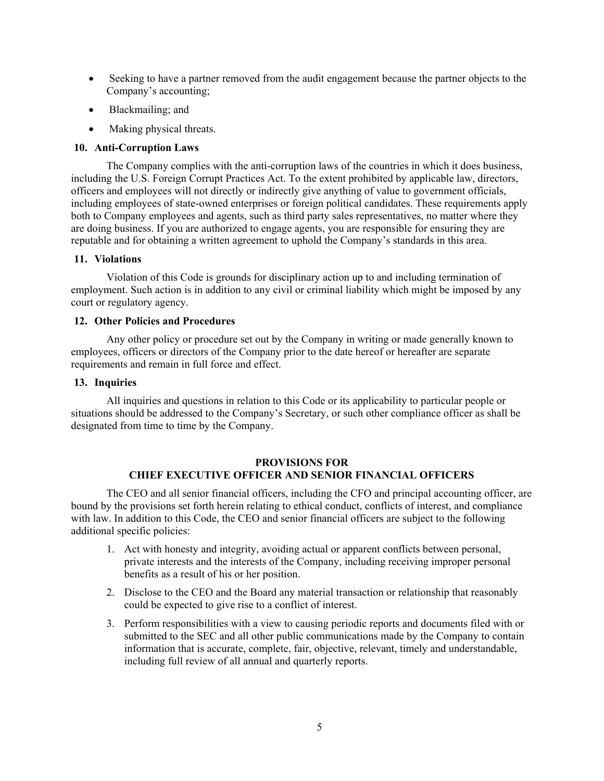- Seeking to have a partner removed from the audit engagement because the partner objects to the Company's accounting;
- Blackmailing; and
- Making physical threats.

## **10. Anti-Corruption Laws**

The Company complies with the anti-corruption laws of the countries in which it does business, including the U.S. Foreign Corrupt Practices Act. To the extent prohibited by applicable law, directors, officers and employees will not directly or indirectly give anything of value to government officials, including employees of state-owned enterprises or foreign political candidates. These requirements apply both to Company employees and agents, such as third party sales representatives, no matter where they are doing business. If you are authorized to engage agents, you are responsible for ensuring they are reputable and for obtaining a written agreement to uphold the Company's standards in this area.

## **11. Violations**

Violation of this Code is grounds for disciplinary action up to and including termination of employment. Such action is in addition to any civil or criminal liability which might be imposed by any court or regulatory agency.

## **12. Other Policies and Procedures**

Any other policy or procedure set out by the Company in writing or made generally known to employees, officers or directors of the Company prior to the date hereof or hereafter are separate requirements and remain in full force and effect.

## **13. Inquiries**

All inquiries and questions in relation to this Code or its applicability to particular people or situations should be addressed to the Company's Secretary, or such other compliance officer as shall be designated from time to time by the Company.

## **PROVISIONS FOR CHIEF EXECUTIVE OFFICER AND SENIOR FINANCIAL OFFICERS**

The CEO and all senior financial officers, including the CFO and principal accounting officer, are bound by the provisions set forth herein relating to ethical conduct, conflicts of interest, and compliance with law. In addition to this Code, the CEO and senior financial officers are subject to the following additional specific policies:

- 1. Act with honesty and integrity, avoiding actual or apparent conflicts between personal, private interests and the interests of the Company, including receiving improper personal benefits as a result of his or her position.
- 2. Disclose to the CEO and the Board any material transaction or relationship that reasonably could be expected to give rise to a conflict of interest.
- 3. Perform responsibilities with a view to causing periodic reports and documents filed with or submitted to the SEC and all other public communications made by the Company to contain information that is accurate, complete, fair, objective, relevant, timely and understandable, including full review of all annual and quarterly reports.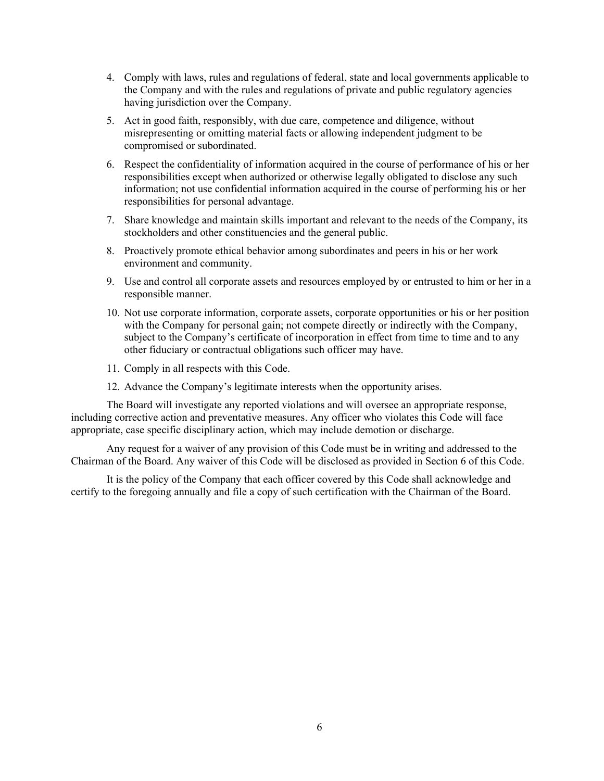- 4. Comply with laws, rules and regulations of federal, state and local governments applicable to the Company and with the rules and regulations of private and public regulatory agencies having jurisdiction over the Company.
- 5. Act in good faith, responsibly, with due care, competence and diligence, without misrepresenting or omitting material facts or allowing independent judgment to be compromised or subordinated.
- 6. Respect the confidentiality of information acquired in the course of performance of his or her responsibilities except when authorized or otherwise legally obligated to disclose any such information; not use confidential information acquired in the course of performing his or her responsibilities for personal advantage.
- 7. Share knowledge and maintain skills important and relevant to the needs of the Company, its stockholders and other constituencies and the general public.
- 8. Proactively promote ethical behavior among subordinates and peers in his or her work environment and community.
- 9. Use and control all corporate assets and resources employed by or entrusted to him or her in a responsible manner.
- 10. Not use corporate information, corporate assets, corporate opportunities or his or her position with the Company for personal gain; not compete directly or indirectly with the Company, subject to the Company's certificate of incorporation in effect from time to time and to any other fiduciary or contractual obligations such officer may have.
- 11. Comply in all respects with this Code.
- 12. Advance the Company's legitimate interests when the opportunity arises.

The Board will investigate any reported violations and will oversee an appropriate response, including corrective action and preventative measures. Any officer who violates this Code will face appropriate, case specific disciplinary action, which may include demotion or discharge.

Any request for a waiver of any provision of this Code must be in writing and addressed to the Chairman of the Board. Any waiver of this Code will be disclosed as provided in Section 6 of this Code.

It is the policy of the Company that each officer covered by this Code shall acknowledge and certify to the foregoing annually and file a copy of such certification with the Chairman of the Board.